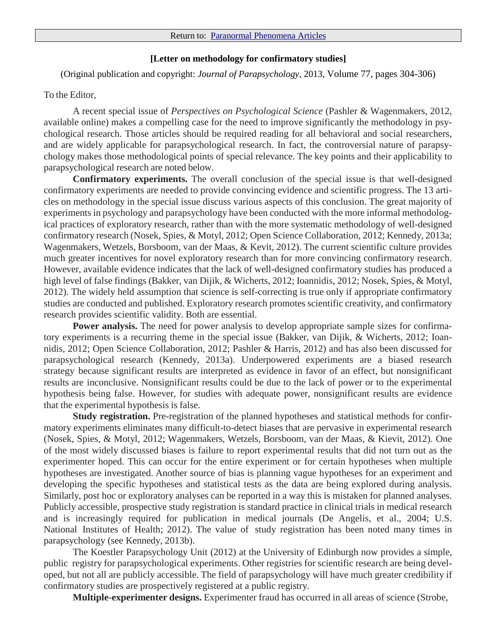## **[Letter on methodology for confirmatory studies]**

(Original publication and copyright: *Journal of Parapsychology*, 2013, Volume 77, pages 304-306)

## To the Editor,

A recent special issue of *Perspectives on Psychological Science* (Pashler & Wagenmakers, 2012, available online) makes a compelling case for the need to improve significantly the methodology in psychological research. Those articles should be required reading for all behavioral and social researchers, and are widely applicable for parapsychological research. In fact, the controversial nature of parapsychology makes those methodological points of special relevance. The key points and their applicability to parapsychological research are noted below.

**Confirmatory experiments.** The overall conclusion of the special issue is that well-designed confirmatory experiments are needed to provide convincing evidence and scientific progress. The 13 articles on methodology in the special issue discuss various aspects of this conclusion. The great majority of experiments in psychology and parapsychology have been conducted with the more informal methodological practices of exploratory research, rather than with the more systematic methodology of well-designed confirmatory research (Nosek, Spies, & Motyl, 2012; Open Science Collaboration, 2012; Kennedy, 2013a; Wagenmakers, Wetzels, Borsboom, van der Maas, & Kevit, 2012). The current scientific culture provides much greater incentives for novel exploratory research than for more convincing confirmatory research. However, available evidence indicates that the lack of well-designed confirmatory studies has produced a high level of false findings (Bakker, van Dijik, & Wicherts, 2012; Ioannidis, 2012; Nosek, Spies, & Motyl, 2012). The widely held assumption that science is self-correcting is true only if appropriate confirmatory studies are conducted and published. Exploratory research promotes scientific creativity, and confirmatory research provides scientific validity. Both are essential.

**Power analysis.** The need for power analysis to develop appropriate sample sizes for confirmatory experiments is a recurring theme in the special issue (Bakker, van Dijik, & Wicherts, 2012; Ioannidis, 2012; Open Science Collaboration, 2012; Pashler & Harris, 2012) and has also been discussed for parapsychological research (Kennedy, 2013a). Underpowered experiments are a biased research strategy because significant results are interpreted as evidence in favor of an effect, but nonsignificant results are inconclusive. Nonsignificant results could be due to the lack of power or to the experimental hypothesis being false. However, for studies with adequate power, nonsignificant results are evidence that the experimental hypothesis is false.

**Study registration.** Pre-registration of the planned hypotheses and statistical methods for confirmatory experiments eliminates many difficult-to-detect biases that are pervasive in experimental research (Nosek, Spies, & Motyl, 2012; Wagenmakers, Wetzels, Borsboom, van der Maas, & Kievit, 2012). One of the most widely discussed biases is failure to report experimental results that did not turn out as the experimenter hoped. This can occur for the entire experiment or for certain hypotheses when multiple hypotheses are investigated. Another source of bias is planning vague hypotheses for an experiment and developing the specific hypotheses and statistical tests as the data are being explored during analysis. Similarly, post hoc or exploratory analyses can be reported in a way this is mistaken for planned analyses. Publicly accessible, prospective study registration is standard practice in clinical trials in medical research and is increasingly required for publication in medical journals (De Angelis, et al., 2004; U.S. National Institutes of Health; 2012). The value of study registration has been noted many times in parapsychology (see Kennedy, 2013b).

The Koestler Parapsychology Unit (2012) at the University of Edinburgh now provides a simple, public registry for parapsychological experiments. Other registries for scientific research are being developed, but not all are publicly accessible. The field of parapsychology will have much greater credibility if confirmatory studies are prospectively registered at a public registry.

**Multiple-experimenter designs.** Experimenter fraud has occurred in all areas of science (Strobe,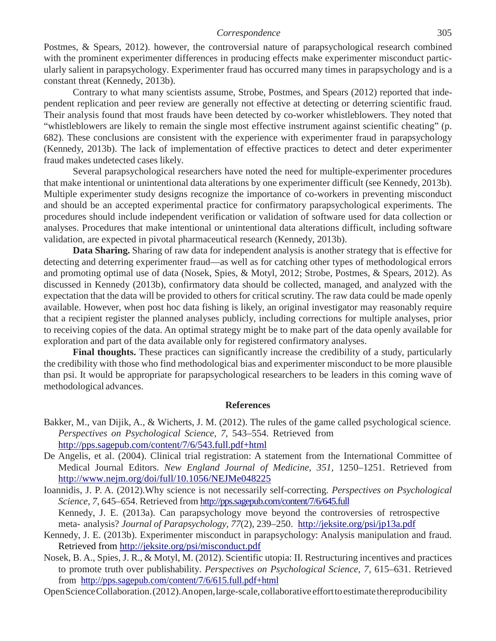Postmes, & Spears, 2012). however, the controversial nature of parapsychological research combined with the prominent experimenter differences in producing effects make experimenter misconduct particularly salient in parapsychology. Experimenter fraud has occurred many times in parapsychology and is a constant threat (Kennedy, 2013b).

Contrary to what many scientists assume, Strobe, Postmes, and Spears (2012) reported that independent replication and peer review are generally not effective at detecting or deterring scientific fraud. Their analysis found that most frauds have been detected by co-worker whistleblowers. They noted that "whistleblowers are likely to remain the single most effective instrument against scientific cheating" (p. 682). These conclusions are consistent with the experience with experimenter fraud in parapsychology (Kennedy, 2013b). The lack of implementation of effective practices to detect and deter experimenter fraud makes undetected cases likely.

Several parapsychological researchers have noted the need for multiple-experimenter procedures that make intentional or unintentional data alterations by one experimenter difficult (see Kennedy, 2013b). Multiple experimenter study designs recognize the importance of co-workers in preventing misconduct and should be an accepted experimental practice for confirmatory parapsychological experiments. The procedures should include independent verification or validation of software used for data collection or analyses. Procedures that make intentional or unintentional data alterations difficult, including software validation, are expected in pivotal pharmaceutical research (Kennedy, 2013b).

**Data Sharing.** Sharing of raw data for independent analysis is another strategy that is effective for detecting and deterring experimenter fraud—as well as for catching other types of methodological errors and promoting optimal use of data (Nosek, Spies, & Motyl, 2012; Strobe, Postmes, & Spears, 2012). As discussed in Kennedy (2013b), confirmatory data should be collected, managed, and analyzed with the expectation that the data will be provided to others for critical scrutiny. The raw data could be made openly available. However, when post hoc data fishing is likely, an original investigator may reasonably require that a recipient register the planned analyses publicly, including corrections for multiple analyses, prior to receiving copies of the data. An optimal strategy might be to make part of the data openly available for exploration and part of the data available only for registered confirmatory analyses.

**Final thoughts.** These practices can significantly increase the credibility of a study, particularly the credibility with those who find methodological bias and experimenter misconduct to be more plausible than psi. It would be appropriate for parapsychological researchers to be leaders in this coming wave of methodological advances.

## **References**

- Bakker, M., van Dijik, A., & Wicherts, J. M. (2012). The rules of the game called psychological science. *Perspectives on Psychological Science, 7,* 543–554. Retrieved from <http://pps.sagepub.com/content/7/6/543.full.pdf+html>
- De Angelis, et al. (2004). Clinical trial registration: A statement from the International Committee of Medical Journal Editors. *New England Journal of Medicine, 351,* 1250–1251. Retrieved from <http://www.nejm.org/doi/full/10.1056/NEJMe048225>
- Ioannidis, J. P. A. (2012).Why science is not necessarily self-correcting. *Perspectives on Psychological Science, 7,* 645–654. Retrieved from <http://pps.sagepub.com/content/7/6/645.full> Kennedy, J. E. (2013a). Can parapsychology move beyond the controversies of retrospective meta- analysis? *Journal of Parapsychology, 77*(2), 239–250. <http://jeksite.org/psi/jp13a.pdf>
- Kennedy, J. E. (2013b). Experimenter misconduct in parapsychology: Analysis manipulation and fraud. Retrieved from<http://jeksite.org/psi/misconduct.pdf>
- Nosek, B. A., Spies, J. R., & Motyl, M. (2012). Scientific utopia: II. Restructuring incentives and practices to promote truth over publishability. *Perspectives on Psychological Science, 7,* 615–631. Retrieved from <http://pps.sagepub.com/content/7/6/615.full.pdf+html>
- OpenScienceCollaboration.(2012).Anopen,large-scale,collaborative efforttoestimate thereproducibility